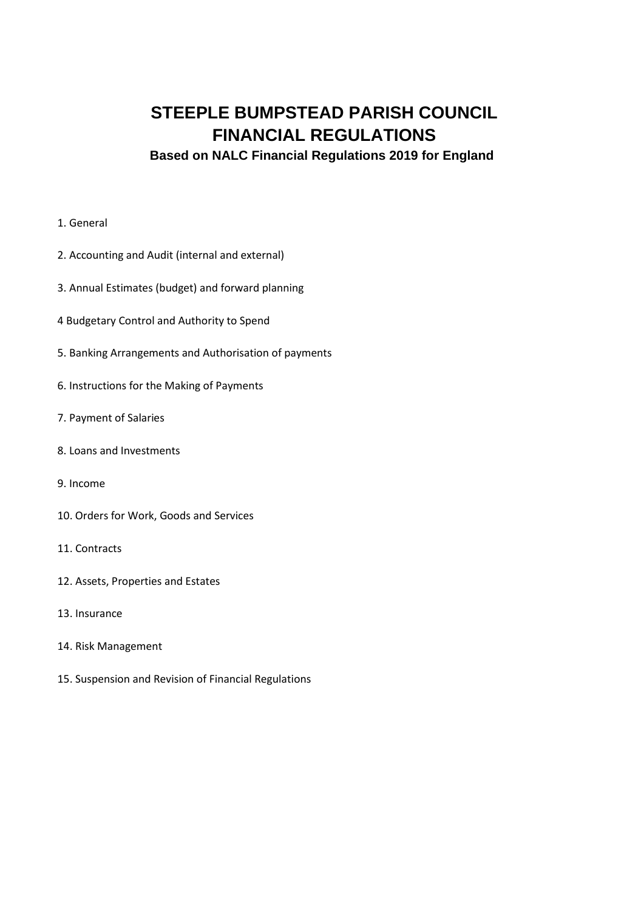# **STEEPLE BUMPSTEAD PARISH COUNCIL FINANCIAL REGULATIONS**

**Based on NALC Financial Regulations 2019 for England** 

# 1. General

- 2. Accounting and Audit (internal and external)
- 3. Annual Estimates (budget) and forward planning
- 4 Budgetary Control and Authority to Spend
- 5. Banking Arrangements and Authorisation of payments
- 6. Instructions for the Making of Payments
- 7. Payment of Salaries
- 8. Loans and Investments
- 9. Income
- 10. Orders for Work, Goods and Services
- 11. Contracts
- 12. Assets, Properties and Estates
- 13. Insurance
- 14. Risk Management
- 15. Suspension and Revision of Financial Regulations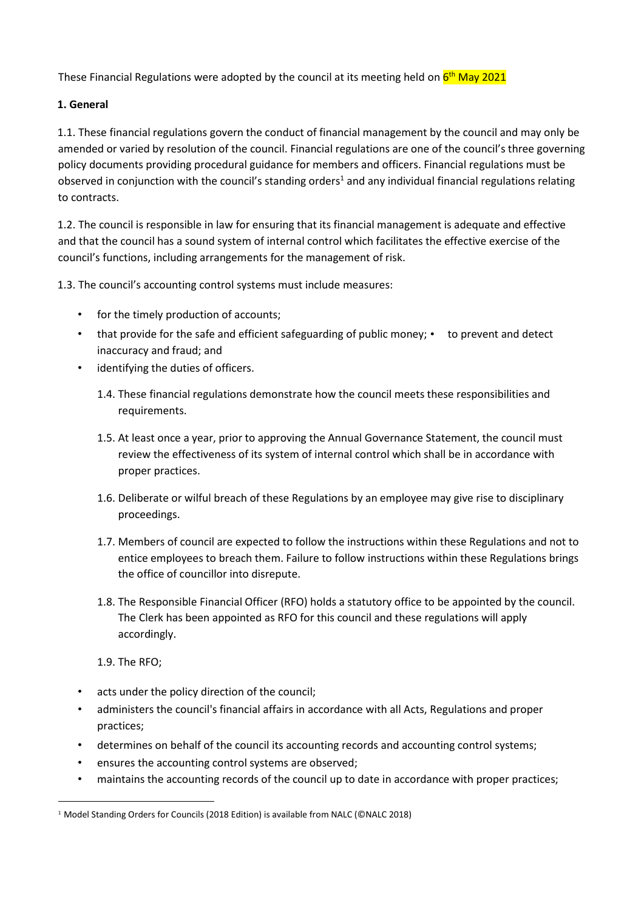These Financial Regulations were adopted by the council at its meeting held on <mark>6<sup>th</sup> May 2021</mark>

# **1. General**

1.1. These financial regulations govern the conduct of financial management by the council and may only be amended or varied by resolution of the council. Financial regulations are one of the council's three governing policy documents providing procedural guidance for members and officers. Financial regulations must be observed in conjunction with the council's standing orders<sup>1</sup> and any individual financial regulations relating to contracts.

1.2. The council is responsible in law for ensuring that its financial management is adequate and effective and that the council has a sound system of internal control which facilitates the effective exercise of the council's functions, including arrangements for the management of risk.

1.3. The council's accounting control systems must include measures:

- for the timely production of accounts;
- that provide for the safe and efficient safeguarding of public money; to prevent and detect inaccuracy and fraud; and
- identifying the duties of officers.
	- 1.4. These financial regulations demonstrate how the council meets these responsibilities and requirements.
	- 1.5. At least once a year, prior to approving the Annual Governance Statement, the council must review the effectiveness of its system of internal control which shall be in accordance with proper practices.
	- 1.6. Deliberate or wilful breach of these Regulations by an employee may give rise to disciplinary proceedings.
	- 1.7. Members of council are expected to follow the instructions within these Regulations and not to entice employees to breach them. Failure to follow instructions within these Regulations brings the office of councillor into disrepute.
	- 1.8. The Responsible Financial Officer (RFO) holds a statutory office to be appointed by the council. The Clerk has been appointed as RFO for this council and these regulations will apply accordingly.

1.9. The RFO;

- acts under the policy direction of the council;
- administers the council's financial affairs in accordance with all Acts, Regulations and proper practices;
- determines on behalf of the council its accounting records and accounting control systems;
- ensures the accounting control systems are observed;
- maintains the accounting records of the council up to date in accordance with proper practices;

<sup>&</sup>lt;sup>1</sup> Model Standing Orders for Councils (2018 Edition) is available from NALC (©NALC 2018)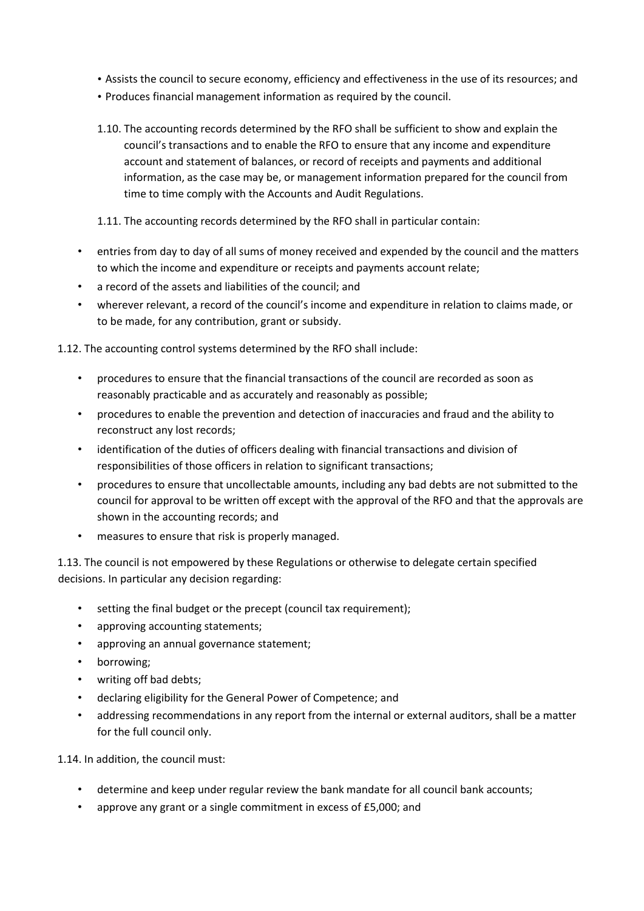- Assists the council to secure economy, efficiency and effectiveness in the use of its resources; and
- Produces financial management information as required by the council.
- 1.10. The accounting records determined by the RFO shall be sufficient to show and explain the council's transactions and to enable the RFO to ensure that any income and expenditure account and statement of balances, or record of receipts and payments and additional information, as the case may be, or management information prepared for the council from time to time comply with the Accounts and Audit Regulations.

1.11. The accounting records determined by the RFO shall in particular contain:

- entries from day to day of all sums of money received and expended by the council and the matters to which the income and expenditure or receipts and payments account relate;
- a record of the assets and liabilities of the council; and
- wherever relevant, a record of the council's income and expenditure in relation to claims made, or to be made, for any contribution, grant or subsidy.

1.12. The accounting control systems determined by the RFO shall include:

- procedures to ensure that the financial transactions of the council are recorded as soon as reasonably practicable and as accurately and reasonably as possible;
- procedures to enable the prevention and detection of inaccuracies and fraud and the ability to reconstruct any lost records;
- identification of the duties of officers dealing with financial transactions and division of responsibilities of those officers in relation to significant transactions;
- procedures to ensure that uncollectable amounts, including any bad debts are not submitted to the council for approval to be written off except with the approval of the RFO and that the approvals are shown in the accounting records; and
- measures to ensure that risk is properly managed.

1.13. The council is not empowered by these Regulations or otherwise to delegate certain specified decisions. In particular any decision regarding:

- setting the final budget or the precept (council tax requirement);
- approving accounting statements;
- approving an annual governance statement;
- borrowing;
- writing off bad debts;
- declaring eligibility for the General Power of Competence; and
- addressing recommendations in any report from the internal or external auditors, shall be a matter for the full council only.

1.14. In addition, the council must:

- determine and keep under regular review the bank mandate for all council bank accounts;
- approve any grant or a single commitment in excess of £5,000; and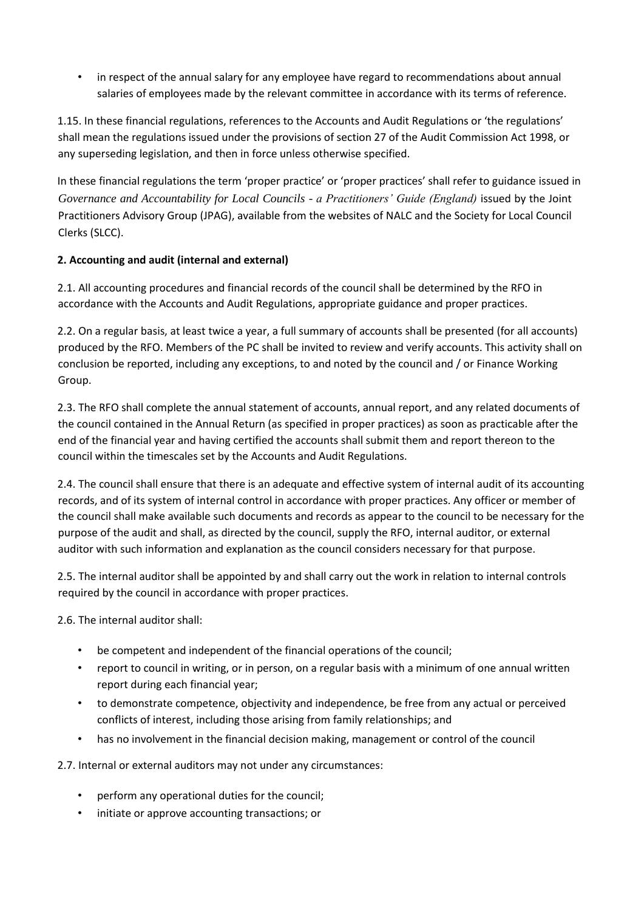• in respect of the annual salary for any employee have regard to recommendations about annual salaries of employees made by the relevant committee in accordance with its terms of reference.

1.15. In these financial regulations, references to the Accounts and Audit Regulations or 'the regulations' shall mean the regulations issued under the provisions of section 27 of the Audit Commission Act 1998, or any superseding legislation, and then in force unless otherwise specified.

In these financial regulations the term 'proper practice' or 'proper practices' shall refer to guidance issued in *Governance and Accountability for Local Councils - a Practitioners' Guide (England)* issued by the Joint Practitioners Advisory Group (JPAG), available from the websites of NALC and the Society for Local Council Clerks (SLCC).

# **2. Accounting and audit (internal and external)**

2.1. All accounting procedures and financial records of the council shall be determined by the RFO in accordance with the Accounts and Audit Regulations, appropriate guidance and proper practices.

2.2. On a regular basis, at least twice a year, a full summary of accounts shall be presented (for all accounts) produced by the RFO. Members of the PC shall be invited to review and verify accounts. This activity shall on conclusion be reported, including any exceptions, to and noted by the council and / or Finance Working Group.

2.3. The RFO shall complete the annual statement of accounts, annual report, and any related documents of the council contained in the Annual Return (as specified in proper practices) as soon as practicable after the end of the financial year and having certified the accounts shall submit them and report thereon to the council within the timescales set by the Accounts and Audit Regulations.

2.4. The council shall ensure that there is an adequate and effective system of internal audit of its accounting records, and of its system of internal control in accordance with proper practices. Any officer or member of the council shall make available such documents and records as appear to the council to be necessary for the purpose of the audit and shall, as directed by the council, supply the RFO, internal auditor, or external auditor with such information and explanation as the council considers necessary for that purpose.

2.5. The internal auditor shall be appointed by and shall carry out the work in relation to internal controls required by the council in accordance with proper practices.

2.6. The internal auditor shall:

- be competent and independent of the financial operations of the council;
- report to council in writing, or in person, on a regular basis with a minimum of one annual written report during each financial year;
- to demonstrate competence, objectivity and independence, be free from any actual or perceived conflicts of interest, including those arising from family relationships; and
- has no involvement in the financial decision making, management or control of the council

2.7. Internal or external auditors may not under any circumstances:

- perform any operational duties for the council;
- initiate or approve accounting transactions; or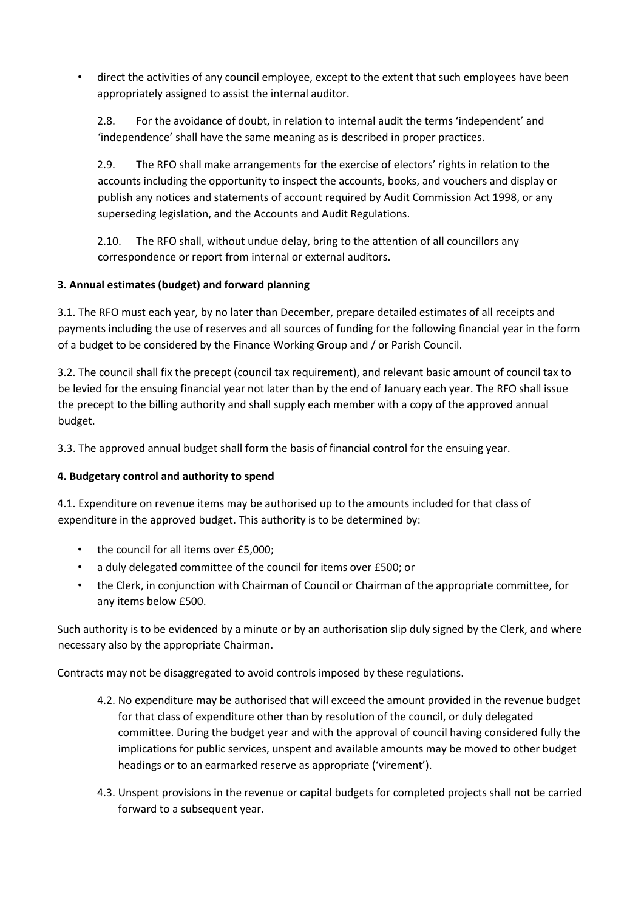• direct the activities of any council employee, except to the extent that such employees have been appropriately assigned to assist the internal auditor.

2.8. For the avoidance of doubt, in relation to internal audit the terms 'independent' and 'independence' shall have the same meaning as is described in proper practices.

2.9. The RFO shall make arrangements for the exercise of electors' rights in relation to the accounts including the opportunity to inspect the accounts, books, and vouchers and display or publish any notices and statements of account required by Audit Commission Act 1998, or any superseding legislation, and the Accounts and Audit Regulations.

2.10. The RFO shall, without undue delay, bring to the attention of all councillors any correspondence or report from internal or external auditors.

# **3. Annual estimates (budget) and forward planning**

3.1. The RFO must each year, by no later than December, prepare detailed estimates of all receipts and payments including the use of reserves and all sources of funding for the following financial year in the form of a budget to be considered by the Finance Working Group and / or Parish Council.

3.2. The council shall fix the precept (council tax requirement), and relevant basic amount of council tax to be levied for the ensuing financial year not later than by the end of January each year. The RFO shall issue the precept to the billing authority and shall supply each member with a copy of the approved annual budget.

3.3. The approved annual budget shall form the basis of financial control for the ensuing year.

# **4. Budgetary control and authority to spend**

4.1. Expenditure on revenue items may be authorised up to the amounts included for that class of expenditure in the approved budget. This authority is to be determined by:

- the council for all items over £5,000;
- a duly delegated committee of the council for items over £500; or
- the Clerk, in conjunction with Chairman of Council or Chairman of the appropriate committee, for any items below £500.

Such authority is to be evidenced by a minute or by an authorisation slip duly signed by the Clerk, and where necessary also by the appropriate Chairman.

Contracts may not be disaggregated to avoid controls imposed by these regulations.

- 4.2. No expenditure may be authorised that will exceed the amount provided in the revenue budget for that class of expenditure other than by resolution of the council, or duly delegated committee. During the budget year and with the approval of council having considered fully the implications for public services, unspent and available amounts may be moved to other budget headings or to an earmarked reserve as appropriate ('virement').
- 4.3. Unspent provisions in the revenue or capital budgets for completed projects shall not be carried forward to a subsequent year.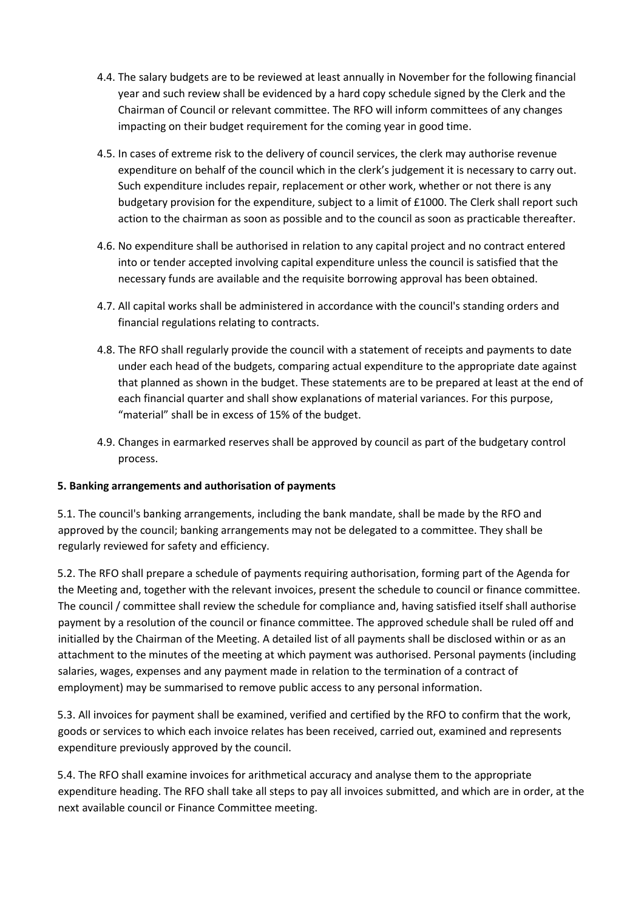- 4.4. The salary budgets are to be reviewed at least annually in November for the following financial year and such review shall be evidenced by a hard copy schedule signed by the Clerk and the Chairman of Council or relevant committee. The RFO will inform committees of any changes impacting on their budget requirement for the coming year in good time.
- 4.5. In cases of extreme risk to the delivery of council services, the clerk may authorise revenue expenditure on behalf of the council which in the clerk's judgement it is necessary to carry out. Such expenditure includes repair, replacement or other work, whether or not there is any budgetary provision for the expenditure, subject to a limit of £1000. The Clerk shall report such action to the chairman as soon as possible and to the council as soon as practicable thereafter.
- 4.6. No expenditure shall be authorised in relation to any capital project and no contract entered into or tender accepted involving capital expenditure unless the council is satisfied that the necessary funds are available and the requisite borrowing approval has been obtained.
- 4.7. All capital works shall be administered in accordance with the council's standing orders and financial regulations relating to contracts.
- 4.8. The RFO shall regularly provide the council with a statement of receipts and payments to date under each head of the budgets, comparing actual expenditure to the appropriate date against that planned as shown in the budget. These statements are to be prepared at least at the end of each financial quarter and shall show explanations of material variances. For this purpose, "material" shall be in excess of 15% of the budget.
- 4.9. Changes in earmarked reserves shall be approved by council as part of the budgetary control process.

#### **5. Banking arrangements and authorisation of payments**

5.1. The council's banking arrangements, including the bank mandate, shall be made by the RFO and approved by the council; banking arrangements may not be delegated to a committee. They shall be regularly reviewed for safety and efficiency.

5.2. The RFO shall prepare a schedule of payments requiring authorisation, forming part of the Agenda for the Meeting and, together with the relevant invoices, present the schedule to council or finance committee. The council / committee shall review the schedule for compliance and, having satisfied itself shall authorise payment by a resolution of the council or finance committee. The approved schedule shall be ruled off and initialled by the Chairman of the Meeting. A detailed list of all payments shall be disclosed within or as an attachment to the minutes of the meeting at which payment was authorised. Personal payments (including salaries, wages, expenses and any payment made in relation to the termination of a contract of employment) may be summarised to remove public access to any personal information.

5.3. All invoices for payment shall be examined, verified and certified by the RFO to confirm that the work, goods or services to which each invoice relates has been received, carried out, examined and represents expenditure previously approved by the council.

5.4. The RFO shall examine invoices for arithmetical accuracy and analyse them to the appropriate expenditure heading. The RFO shall take all steps to pay all invoices submitted, and which are in order, at the next available council or Finance Committee meeting.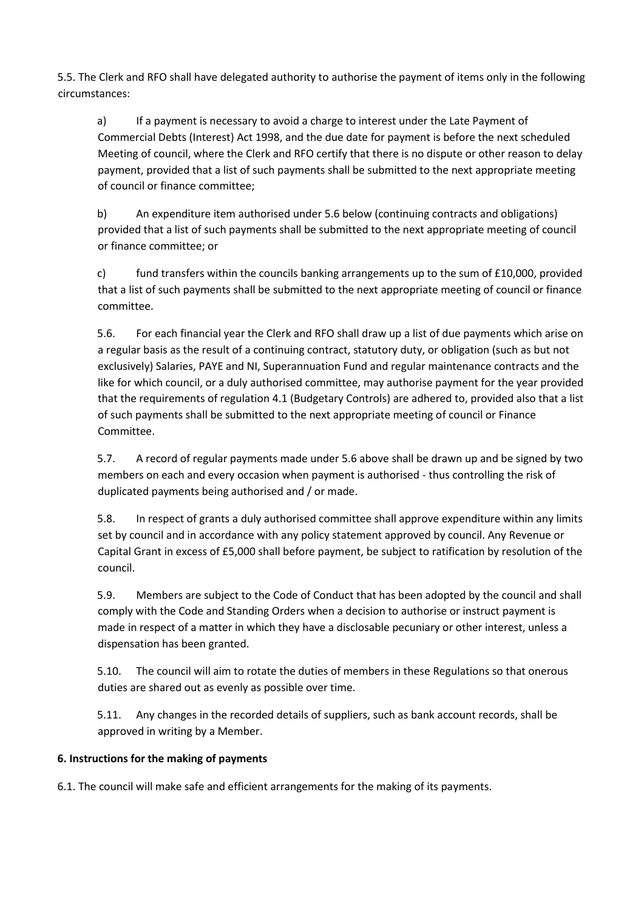5.5. The Clerk and RFO shall have delegated authority to authorise the payment of items only in the following circumstances:

a) If a payment is necessary to avoid a charge to interest under the Late Payment of Commercial Debts (Interest) Act 1998, and the due date for payment is before the next scheduled Meeting of council, where the Clerk and RFO certify that there is no dispute or other reason to delay payment, provided that a list of such payments shall be submitted to the next appropriate meeting of council or finance committee;

b) An expenditure item authorised under 5.6 below (continuing contracts and obligations) provided that a list of such payments shall be submitted to the next appropriate meeting of council or finance committee; or

c) fund transfers within the councils banking arrangements up to the sum of £10,000, provided that a list of such payments shall be submitted to the next appropriate meeting of council or finance committee.

5.6. For each financial year the Clerk and RFO shall draw up a list of due payments which arise on a regular basis as the result of a continuing contract, statutory duty, or obligation (such as but not exclusively) Salaries, PAYE and NI, Superannuation Fund and regular maintenance contracts and the like for which council, or a duly authorised committee, may authorise payment for the year provided that the requirements of regulation 4.1 (Budgetary Controls) are adhered to, provided also that a list of such payments shall be submitted to the next appropriate meeting of council or Finance Committee.

5.7. A record of regular payments made under 5.6 above shall be drawn up and be signed by two members on each and every occasion when payment is authorised - thus controlling the risk of duplicated payments being authorised and / or made.

5.8. In respect of grants a duly authorised committee shall approve expenditure within any limits set by council and in accordance with any policy statement approved by council. Any Revenue or Capital Grant in excess of £5,000 shall before payment, be subject to ratification by resolution of the council.

5.9. Members are subject to the Code of Conduct that has been adopted by the council and shall comply with the Code and Standing Orders when a decision to authorise or instruct payment is made in respect of a matter in which they have a disclosable pecuniary or other interest, unless a dispensation has been granted.

5.10. The council will aim to rotate the duties of members in these Regulations so that onerous duties are shared out as evenly as possible over time.

5.11. Any changes in the recorded details of suppliers, such as bank account records, shall be approved in writing by a Member.

# **6. Instructions for the making of payments**

6.1. The council will make safe and efficient arrangements for the making of its payments.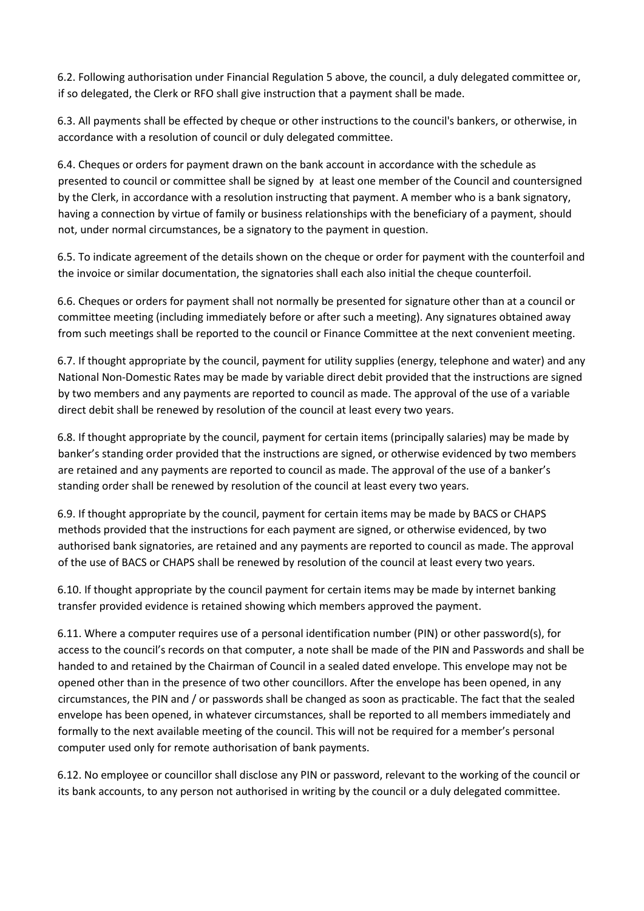6.2. Following authorisation under Financial Regulation 5 above, the council, a duly delegated committee or, if so delegated, the Clerk or RFO shall give instruction that a payment shall be made.

6.3. All payments shall be effected by cheque or other instructions to the council's bankers, or otherwise, in accordance with a resolution of council or duly delegated committee.

6.4. Cheques or orders for payment drawn on the bank account in accordance with the schedule as presented to council or committee shall be signed by at least one member of the Council and countersigned by the Clerk, in accordance with a resolution instructing that payment. A member who is a bank signatory, having a connection by virtue of family or business relationships with the beneficiary of a payment, should not, under normal circumstances, be a signatory to the payment in question.

6.5. To indicate agreement of the details shown on the cheque or order for payment with the counterfoil and the invoice or similar documentation, the signatories shall each also initial the cheque counterfoil.

6.6. Cheques or orders for payment shall not normally be presented for signature other than at a council or committee meeting (including immediately before or after such a meeting). Any signatures obtained away from such meetings shall be reported to the council or Finance Committee at the next convenient meeting.

6.7. If thought appropriate by the council, payment for utility supplies (energy, telephone and water) and any National Non-Domestic Rates may be made by variable direct debit provided that the instructions are signed by two members and any payments are reported to council as made. The approval of the use of a variable direct debit shall be renewed by resolution of the council at least every two years.

6.8. If thought appropriate by the council, payment for certain items (principally salaries) may be made by banker's standing order provided that the instructions are signed, or otherwise evidenced by two members are retained and any payments are reported to council as made. The approval of the use of a banker's standing order shall be renewed by resolution of the council at least every two years.

6.9. If thought appropriate by the council, payment for certain items may be made by BACS or CHAPS methods provided that the instructions for each payment are signed, or otherwise evidenced, by two authorised bank signatories, are retained and any payments are reported to council as made. The approval of the use of BACS or CHAPS shall be renewed by resolution of the council at least every two years.

6.10. If thought appropriate by the council payment for certain items may be made by internet banking transfer provided evidence is retained showing which members approved the payment.

6.11. Where a computer requires use of a personal identification number (PIN) or other password(s), for access to the council's records on that computer, a note shall be made of the PIN and Passwords and shall be handed to and retained by the Chairman of Council in a sealed dated envelope. This envelope may not be opened other than in the presence of two other councillors. After the envelope has been opened, in any circumstances, the PIN and / or passwords shall be changed as soon as practicable. The fact that the sealed envelope has been opened, in whatever circumstances, shall be reported to all members immediately and formally to the next available meeting of the council. This will not be required for a member's personal computer used only for remote authorisation of bank payments.

6.12. No employee or councillor shall disclose any PIN or password, relevant to the working of the council or its bank accounts, to any person not authorised in writing by the council or a duly delegated committee.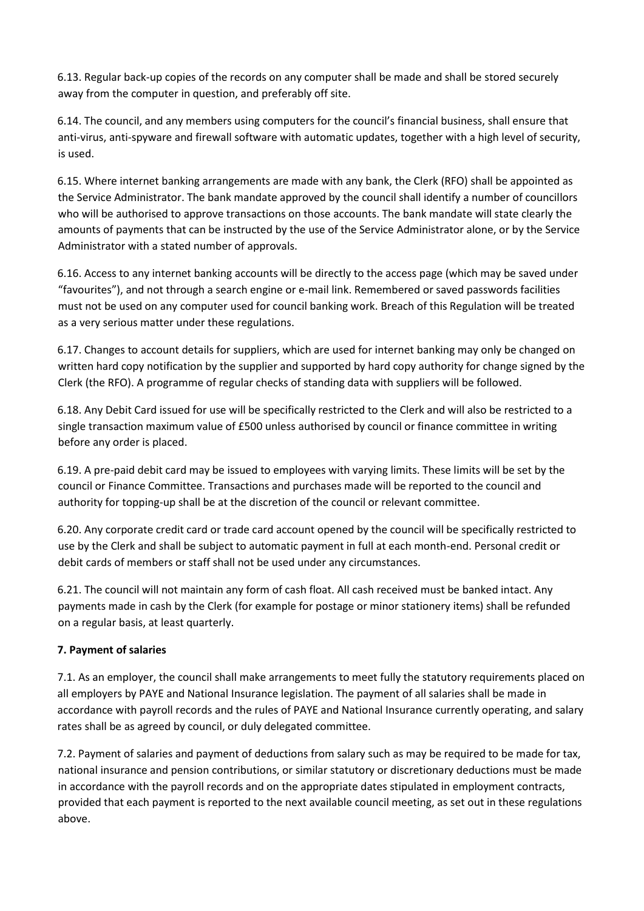6.13. Regular back-up copies of the records on any computer shall be made and shall be stored securely away from the computer in question, and preferably off site.

6.14. The council, and any members using computers for the council's financial business, shall ensure that anti-virus, anti-spyware and firewall software with automatic updates, together with a high level of security, is used.

6.15. Where internet banking arrangements are made with any bank, the Clerk (RFO) shall be appointed as the Service Administrator. The bank mandate approved by the council shall identify a number of councillors who will be authorised to approve transactions on those accounts. The bank mandate will state clearly the amounts of payments that can be instructed by the use of the Service Administrator alone, or by the Service Administrator with a stated number of approvals.

6.16. Access to any internet banking accounts will be directly to the access page (which may be saved under "favourites"), and not through a search engine or e-mail link. Remembered or saved passwords facilities must not be used on any computer used for council banking work. Breach of this Regulation will be treated as a very serious matter under these regulations.

6.17. Changes to account details for suppliers, which are used for internet banking may only be changed on written hard copy notification by the supplier and supported by hard copy authority for change signed by the Clerk (the RFO). A programme of regular checks of standing data with suppliers will be followed.

6.18. Any Debit Card issued for use will be specifically restricted to the Clerk and will also be restricted to a single transaction maximum value of £500 unless authorised by council or finance committee in writing before any order is placed.

6.19. A pre-paid debit card may be issued to employees with varying limits. These limits will be set by the council or Finance Committee. Transactions and purchases made will be reported to the council and authority for topping-up shall be at the discretion of the council or relevant committee.

6.20. Any corporate credit card or trade card account opened by the council will be specifically restricted to use by the Clerk and shall be subject to automatic payment in full at each month-end. Personal credit or debit cards of members or staff shall not be used under any circumstances.

6.21. The council will not maintain any form of cash float. All cash received must be banked intact. Any payments made in cash by the Clerk (for example for postage or minor stationery items) shall be refunded on a regular basis, at least quarterly.

# **7. Payment of salaries**

7.1. As an employer, the council shall make arrangements to meet fully the statutory requirements placed on all employers by PAYE and National Insurance legislation. The payment of all salaries shall be made in accordance with payroll records and the rules of PAYE and National Insurance currently operating, and salary rates shall be as agreed by council, or duly delegated committee.

7.2. Payment of salaries and payment of deductions from salary such as may be required to be made for tax, national insurance and pension contributions, or similar statutory or discretionary deductions must be made in accordance with the payroll records and on the appropriate dates stipulated in employment contracts, provided that each payment is reported to the next available council meeting, as set out in these regulations above.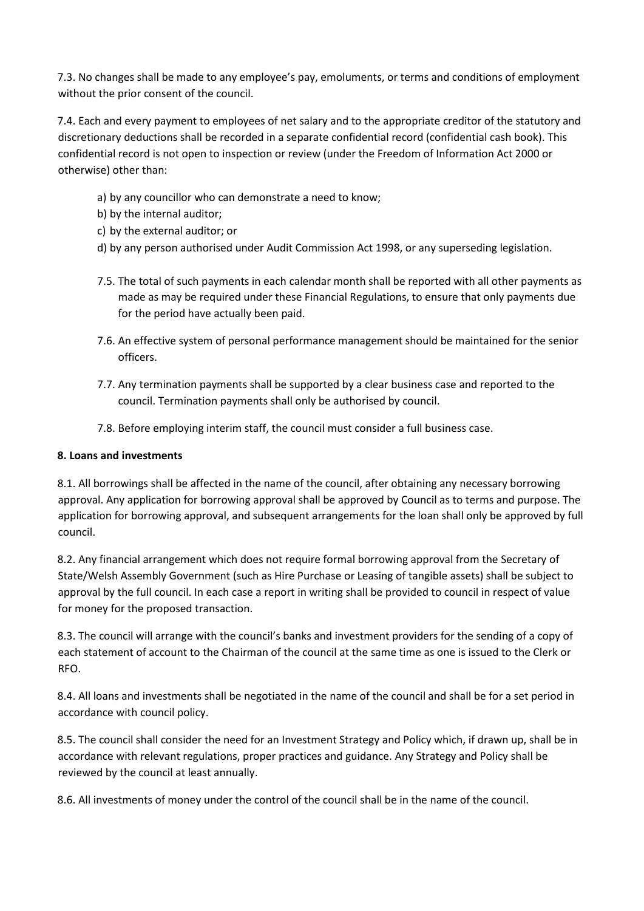7.3. No changes shall be made to any employee's pay, emoluments, or terms and conditions of employment without the prior consent of the council.

7.4. Each and every payment to employees of net salary and to the appropriate creditor of the statutory and discretionary deductions shall be recorded in a separate confidential record (confidential cash book). This confidential record is not open to inspection or review (under the Freedom of Information Act 2000 or otherwise) other than:

- a) by any councillor who can demonstrate a need to know;
- b) by the internal auditor;
- c) by the external auditor; or
- d) by any person authorised under Audit Commission Act 1998, or any superseding legislation.
- 7.5. The total of such payments in each calendar month shall be reported with all other payments as made as may be required under these Financial Regulations, to ensure that only payments due for the period have actually been paid.
- 7.6. An effective system of personal performance management should be maintained for the senior officers.
- 7.7. Any termination payments shall be supported by a clear business case and reported to the council. Termination payments shall only be authorised by council.
- 7.8. Before employing interim staff, the council must consider a full business case.

#### **8. Loans and investments**

8.1. All borrowings shall be affected in the name of the council, after obtaining any necessary borrowing approval. Any application for borrowing approval shall be approved by Council as to terms and purpose. The application for borrowing approval, and subsequent arrangements for the loan shall only be approved by full council.

8.2. Any financial arrangement which does not require formal borrowing approval from the Secretary of State/Welsh Assembly Government (such as Hire Purchase or Leasing of tangible assets) shall be subject to approval by the full council. In each case a report in writing shall be provided to council in respect of value for money for the proposed transaction.

8.3. The council will arrange with the council's banks and investment providers for the sending of a copy of each statement of account to the Chairman of the council at the same time as one is issued to the Clerk or RFO.

8.4. All loans and investments shall be negotiated in the name of the council and shall be for a set period in accordance with council policy.

8.5. The council shall consider the need for an Investment Strategy and Policy which, if drawn up, shall be in accordance with relevant regulations, proper practices and guidance. Any Strategy and Policy shall be reviewed by the council at least annually.

8.6. All investments of money under the control of the council shall be in the name of the council.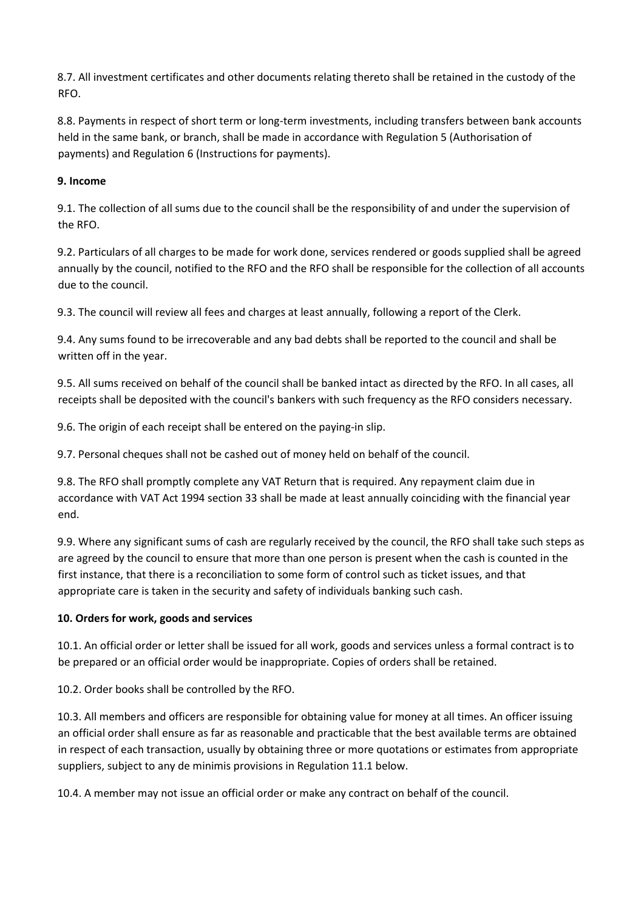8.7. All investment certificates and other documents relating thereto shall be retained in the custody of the RFO.

8.8. Payments in respect of short term or long-term investments, including transfers between bank accounts held in the same bank, or branch, shall be made in accordance with Regulation 5 (Authorisation of payments) and Regulation 6 (Instructions for payments).

# **9. Income**

9.1. The collection of all sums due to the council shall be the responsibility of and under the supervision of the RFO.

9.2. Particulars of all charges to be made for work done, services rendered or goods supplied shall be agreed annually by the council, notified to the RFO and the RFO shall be responsible for the collection of all accounts due to the council.

9.3. The council will review all fees and charges at least annually, following a report of the Clerk.

9.4. Any sums found to be irrecoverable and any bad debts shall be reported to the council and shall be written off in the year.

9.5. All sums received on behalf of the council shall be banked intact as directed by the RFO. In all cases, all receipts shall be deposited with the council's bankers with such frequency as the RFO considers necessary.

9.6. The origin of each receipt shall be entered on the paying-in slip.

9.7. Personal cheques shall not be cashed out of money held on behalf of the council.

9.8. The RFO shall promptly complete any VAT Return that is required. Any repayment claim due in accordance with VAT Act 1994 section 33 shall be made at least annually coinciding with the financial year end.

9.9. Where any significant sums of cash are regularly received by the council, the RFO shall take such steps as are agreed by the council to ensure that more than one person is present when the cash is counted in the first instance, that there is a reconciliation to some form of control such as ticket issues, and that appropriate care is taken in the security and safety of individuals banking such cash.

## **10. Orders for work, goods and services**

10.1. An official order or letter shall be issued for all work, goods and services unless a formal contract is to be prepared or an official order would be inappropriate. Copies of orders shall be retained.

10.2. Order books shall be controlled by the RFO.

10.3. All members and officers are responsible for obtaining value for money at all times. An officer issuing an official order shall ensure as far as reasonable and practicable that the best available terms are obtained in respect of each transaction, usually by obtaining three or more quotations or estimates from appropriate suppliers, subject to any de minimis provisions in Regulation 11.1 below.

10.4. A member may not issue an official order or make any contract on behalf of the council.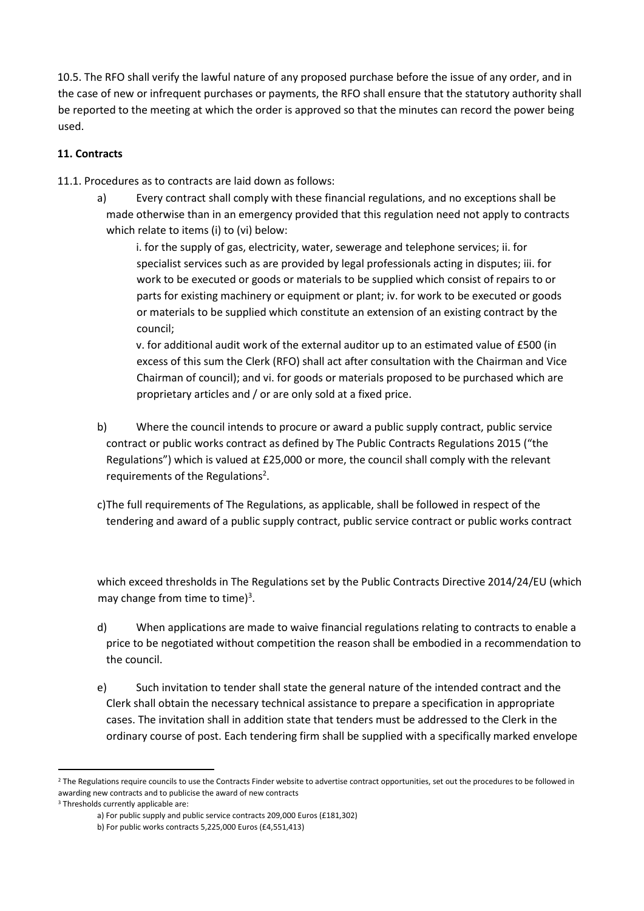10.5. The RFO shall verify the lawful nature of any proposed purchase before the issue of any order, and in the case of new or infrequent purchases or payments, the RFO shall ensure that the statutory authority shall be reported to the meeting at which the order is approved so that the minutes can record the power being used.

# **11. Contracts**

11.1. Procedures as to contracts are laid down as follows:

a) Every contract shall comply with these financial regulations, and no exceptions shall be made otherwise than in an emergency provided that this regulation need not apply to contracts which relate to items (i) to (vi) below:

i. for the supply of gas, electricity, water, sewerage and telephone services; ii. for specialist services such as are provided by legal professionals acting in disputes; iii. for work to be executed or goods or materials to be supplied which consist of repairs to or parts for existing machinery or equipment or plant; iv. for work to be executed or goods or materials to be supplied which constitute an extension of an existing contract by the council;

v. for additional audit work of the external auditor up to an estimated value of £500 (in excess of this sum the Clerk (RFO) shall act after consultation with the Chairman and Vice Chairman of council); and vi. for goods or materials proposed to be purchased which are proprietary articles and / or are only sold at a fixed price.

- b) Where the council intends to procure or award a public supply contract, public service contract or public works contract as defined by The Public Contracts Regulations 2015 ("the Regulations") which is valued at £25,000 or more, the council shall comply with the relevant requirements of the Regulations<sup>2</sup>.
- c)The full requirements of The Regulations, as applicable, shall be followed in respect of the tendering and award of a public supply contract, public service contract or public works contract

which exceed thresholds in The Regulations set by the Public Contracts Directive 2014/24/EU (which may change from time to time) $3$ .

- d) When applications are made to waive financial regulations relating to contracts to enable a price to be negotiated without competition the reason shall be embodied in a recommendation to the council.
- e) Such invitation to tender shall state the general nature of the intended contract and the Clerk shall obtain the necessary technical assistance to prepare a specification in appropriate cases. The invitation shall in addition state that tenders must be addressed to the Clerk in the ordinary course of post. Each tendering firm shall be supplied with a specifically marked envelope

<sup>&</sup>lt;sup>2</sup> The Regulations require councils to use the Contracts Finder website to advertise contract opportunities, set out the procedures to be followed in awarding new contracts and to publicise the award of new contracts

<sup>&</sup>lt;sup>3</sup> Thresholds currently applicable are:

a) For public supply and public service contracts 209,000 Euros (£181,302)

b) For public works contracts 5,225,000 Euros (£4,551,413)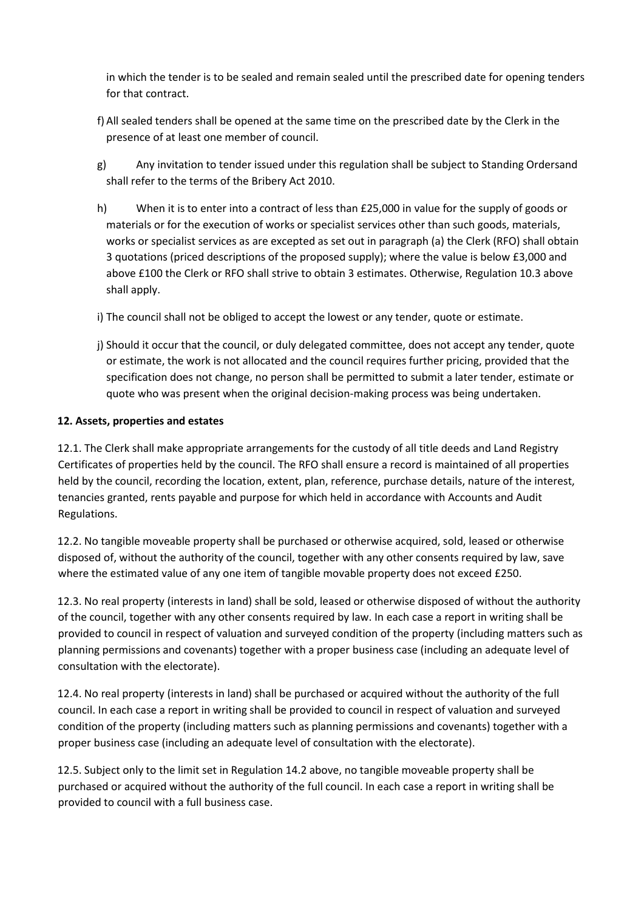in which the tender is to be sealed and remain sealed until the prescribed date for opening tenders for that contract.

- f) All sealed tenders shall be opened at the same time on the prescribed date by the Clerk in the presence of at least one member of council.
- g) Any invitation to tender issued under this regulation shall be subject to Standing Ordersand shall refer to the terms of the Bribery Act 2010.
- h) When it is to enter into a contract of less than £25,000 in value for the supply of goods or materials or for the execution of works or specialist services other than such goods, materials, works or specialist services as are excepted as set out in paragraph (a) the Clerk (RFO) shall obtain 3 quotations (priced descriptions of the proposed supply); where the value is below £3,000 and above £100 the Clerk or RFO shall strive to obtain 3 estimates. Otherwise, Regulation 10.3 above shall apply.
- i) The council shall not be obliged to accept the lowest or any tender, quote or estimate.
- j) Should it occur that the council, or duly delegated committee, does not accept any tender, quote or estimate, the work is not allocated and the council requires further pricing, provided that the specification does not change, no person shall be permitted to submit a later tender, estimate or quote who was present when the original decision-making process was being undertaken.

## **12. Assets, properties and estates**

12.1. The Clerk shall make appropriate arrangements for the custody of all title deeds and Land Registry Certificates of properties held by the council. The RFO shall ensure a record is maintained of all properties held by the council, recording the location, extent, plan, reference, purchase details, nature of the interest, tenancies granted, rents payable and purpose for which held in accordance with Accounts and Audit Regulations.

12.2. No tangible moveable property shall be purchased or otherwise acquired, sold, leased or otherwise disposed of, without the authority of the council, together with any other consents required by law, save where the estimated value of any one item of tangible movable property does not exceed £250.

12.3. No real property (interests in land) shall be sold, leased or otherwise disposed of without the authority of the council, together with any other consents required by law. In each case a report in writing shall be provided to council in respect of valuation and surveyed condition of the property (including matters such as planning permissions and covenants) together with a proper business case (including an adequate level of consultation with the electorate).

12.4. No real property (interests in land) shall be purchased or acquired without the authority of the full council. In each case a report in writing shall be provided to council in respect of valuation and surveyed condition of the property (including matters such as planning permissions and covenants) together with a proper business case (including an adequate level of consultation with the electorate).

12.5. Subject only to the limit set in Regulation 14.2 above, no tangible moveable property shall be purchased or acquired without the authority of the full council. In each case a report in writing shall be provided to council with a full business case.